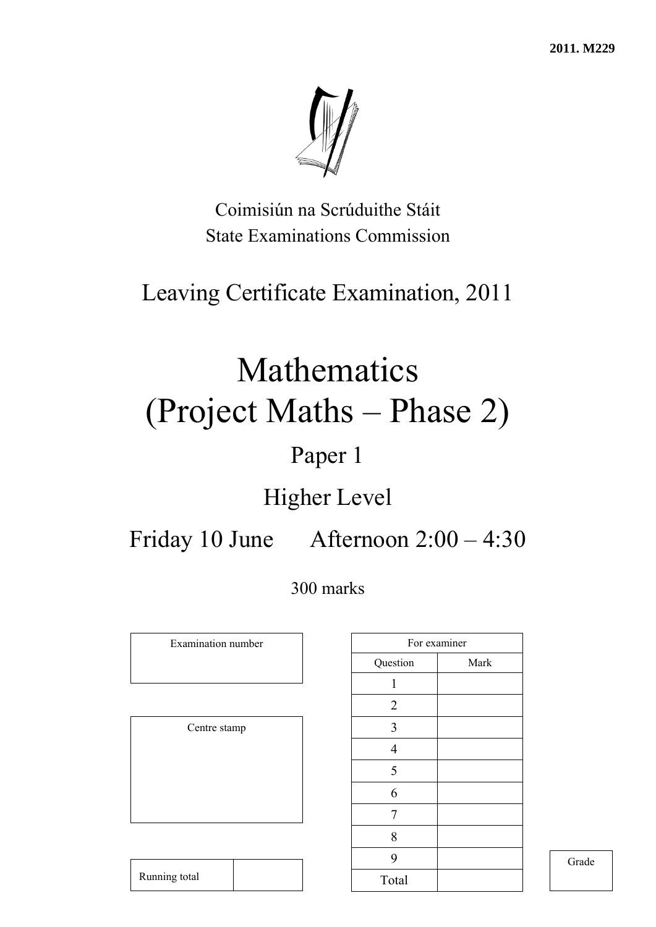**2011. M229** 



Coimisiún na Scrúduithe Stáit State Examinations Commission

## Leaving Certificate Examination, 2011

# Mathematics (Project Maths – Phase 2)

## Paper 1

## Higher Level

Friday 10 June Afternoon 2:00 – 4:30

300 marks

Examination number

Centre stamp

| For examiner   |      |
|----------------|------|
| Question       | Mark |
| 1              |      |
| $\overline{2}$ |      |
| 3              |      |
| $\overline{4}$ |      |
| 5              |      |
| 6              |      |
| 7              |      |
| 8              |      |
| 9              |      |
| Total          |      |

Grade

Running total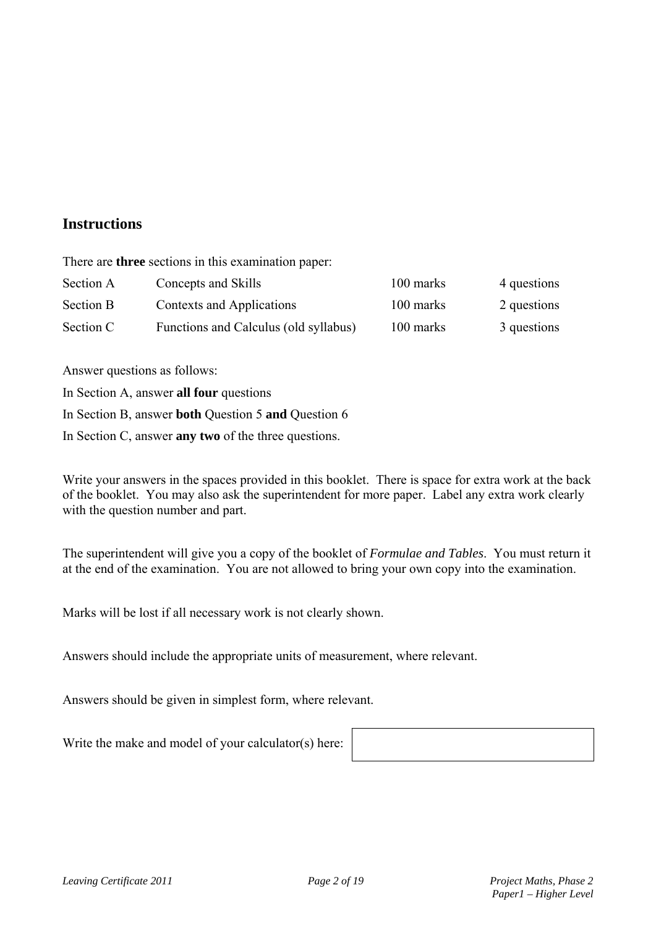### **Instructions**

There are **three** sections in this examination paper:

| Section A        | Concepts and Skills                   | 100 marks | 4 questions |
|------------------|---------------------------------------|-----------|-------------|
| <b>Section B</b> | Contexts and Applications             | 100 marks | 2 questions |
| Section C        | Functions and Calculus (old syllabus) | 100 marks | 3 questions |

Answer questions as follows:

In Section A, answer **all four** questions

In Section B, answer **both** Question 5 **and** Question 6

In Section C, answer **any two** of the three questions.

Write your answers in the spaces provided in this booklet. There is space for extra work at the back of the booklet. You may also ask the superintendent for more paper. Label any extra work clearly with the question number and part.

The superintendent will give you a copy of the booklet of *Formulae and Tables*. You must return it at the end of the examination. You are not allowed to bring your own copy into the examination.

Marks will be lost if all necessary work is not clearly shown.

Answers should include the appropriate units of measurement, where relevant.

Answers should be given in simplest form, where relevant.

Write the make and model of your calculator(s) here: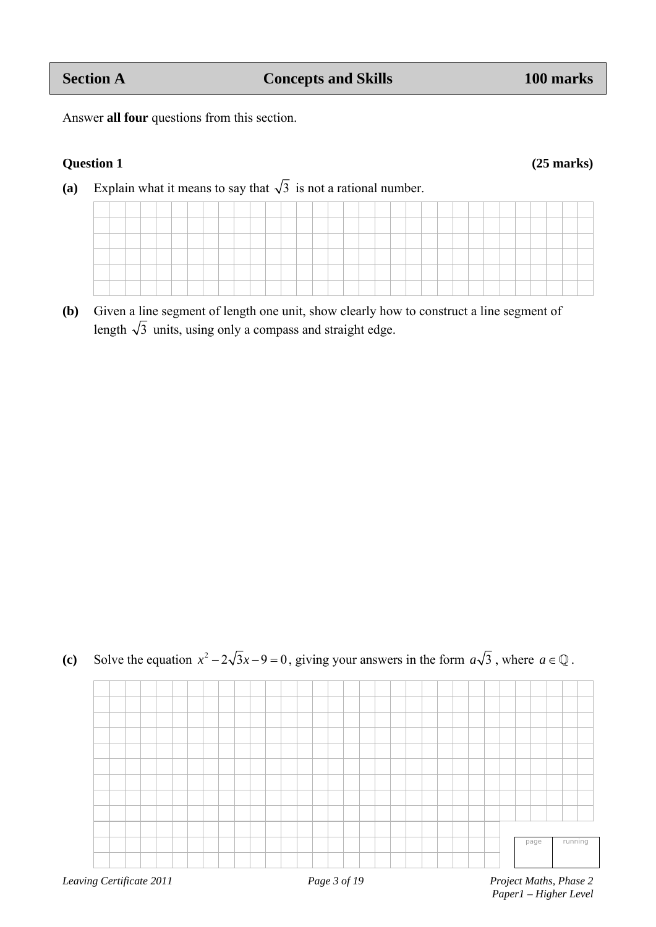Answer **all four** questions from this section.

#### **Question 1 (25 marks)**

(a) Explain what it means to say that  $\sqrt{3}$  is not a rational number.

| ______ |  |  | ____ |  |                                                                                                                 |  | ____ |  |  |  |  |         |  |  |  | ____ |  |  |
|--------|--|--|------|--|-----------------------------------------------------------------------------------------------------------------|--|------|--|--|--|--|---------|--|--|--|------|--|--|
|        |  |  |      |  | the contract of the contract of the contract of the contract of the contract of the contract of the contract of |  |      |  |  |  |  | _______ |  |  |  |      |  |  |
|        |  |  |      |  |                                                                                                                 |  |      |  |  |  |  |         |  |  |  |      |  |  |
|        |  |  |      |  |                                                                                                                 |  |      |  |  |  |  |         |  |  |  |      |  |  |
|        |  |  |      |  |                                                                                                                 |  |      |  |  |  |  |         |  |  |  |      |  |  |

**(b)** Given a line segment of length one unit, show clearly how to construct a line segment of length  $\sqrt{3}$  units, using only a compass and straight edge.



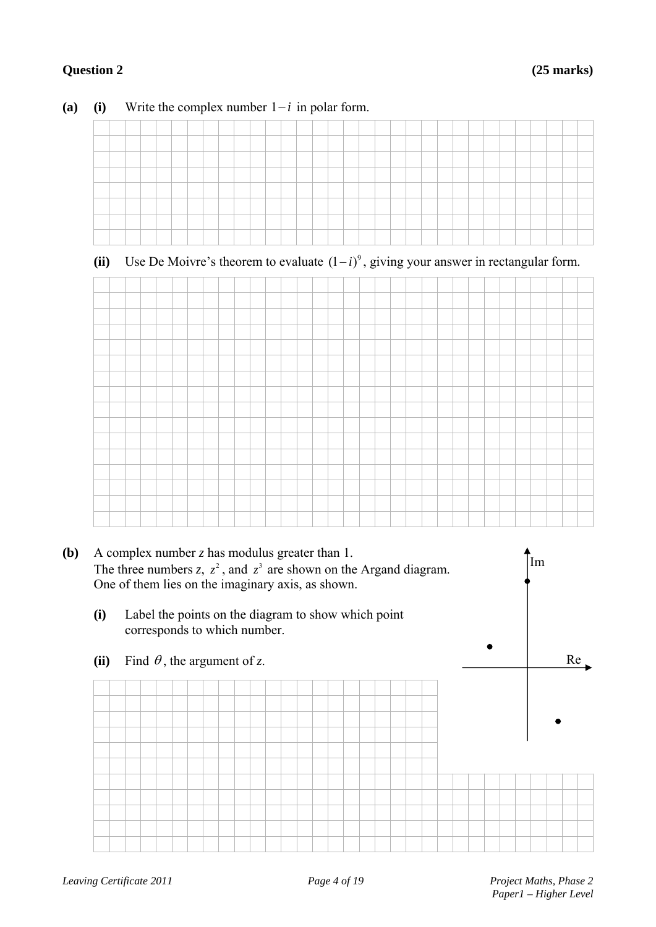#### **Question 2 (25 marks)**

| $\sim$ $\sim$ |  |  |  |       |  |  |  |        |         |         |  |  |  |  |  |  |  |
|---------------|--|--|--|-------|--|--|--|--------|---------|---------|--|--|--|--|--|--|--|
|               |  |  |  |       |  |  |  |        | ____    | ____    |  |  |  |  |  |  |  |
|               |  |  |  |       |  |  |  |        |         |         |  |  |  |  |  |  |  |
|               |  |  |  | _____ |  |  |  | ______ | _______ | _______ |  |  |  |  |  |  |  |
|               |  |  |  |       |  |  |  |        |         |         |  |  |  |  |  |  |  |
|               |  |  |  |       |  |  |  |        |         |         |  |  |  |  |  |  |  |
|               |  |  |  |       |  |  |  |        |         |         |  |  |  |  |  |  |  |
|               |  |  |  |       |  |  |  |        |         |         |  |  |  |  |  |  |  |
|               |  |  |  |       |  |  |  |        |         |         |  |  |  |  |  |  |  |

#### (a) (i) Write the complex number  $1-i$  in polar form.

### (ii) Use De Moivre's theorem to evaluate  $(1 - i)^9$ , giving your answer in rectangular form.



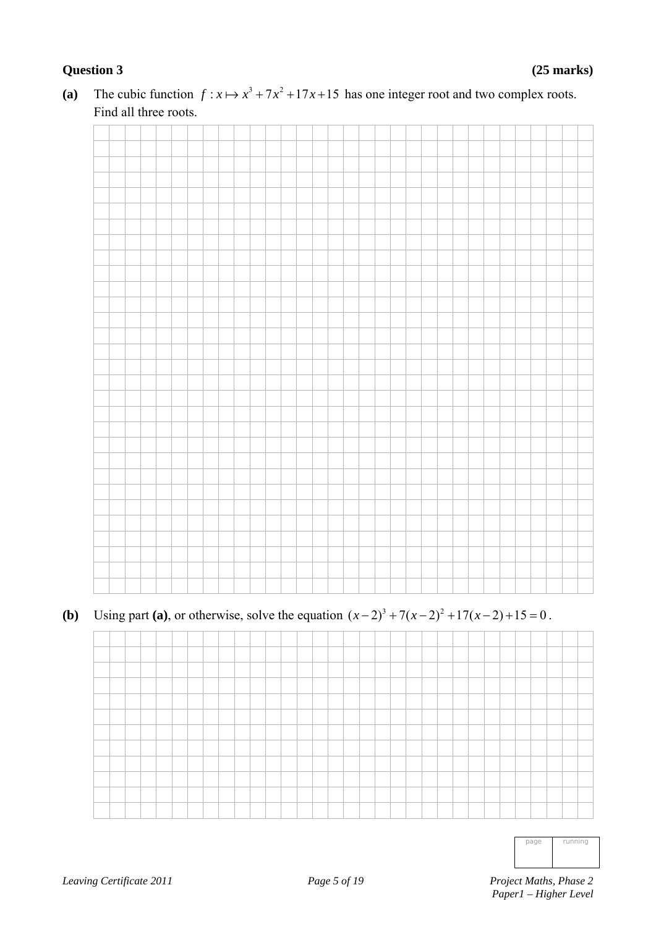### **Question 3 (25 marks)**

- 
- (a) The cubic function  $f: x \mapsto x^3 + 7x^2 + 17x + 15$  has one integer root and two complex roots. Find all three roots.

## **(b)** Using part **(a)**, or otherwise, solve the equation  $(x-2)^3 + 7(x-2)^2 + 17(x-2) + 15 = 0$ .

page running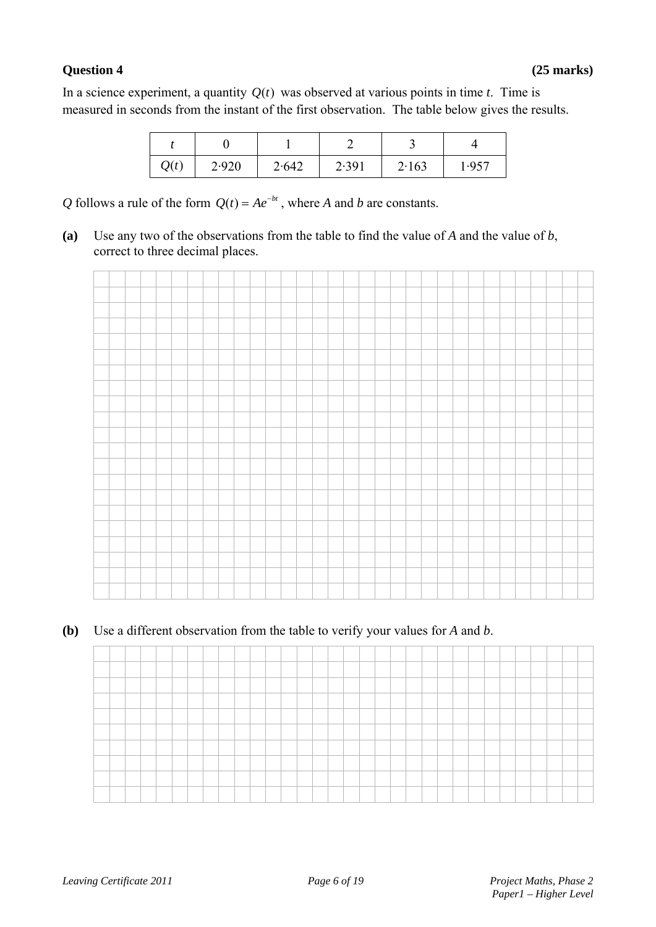#### **Question 4 (25 marks)**

In a science experiment, a quantity  $Q(t)$  was observed at various points in time *t*. Time is measured in seconds from the instant of the first observation. The table below gives the results.

| Q(t) | 2.920 | 2.642 | 2.391 | 2.163 | 1.957 |
|------|-------|-------|-------|-------|-------|

*Q* follows a rule of the form  $Q(t) = Ae^{-bt}$ , where *A* and *b* are constants.

**(a)** Use any two of the observations from the table to find the value of *A* and the value of *b*, correct to three decimal places.



#### **(b)** Use a different observation from the table to verify your values for *A* and *b*.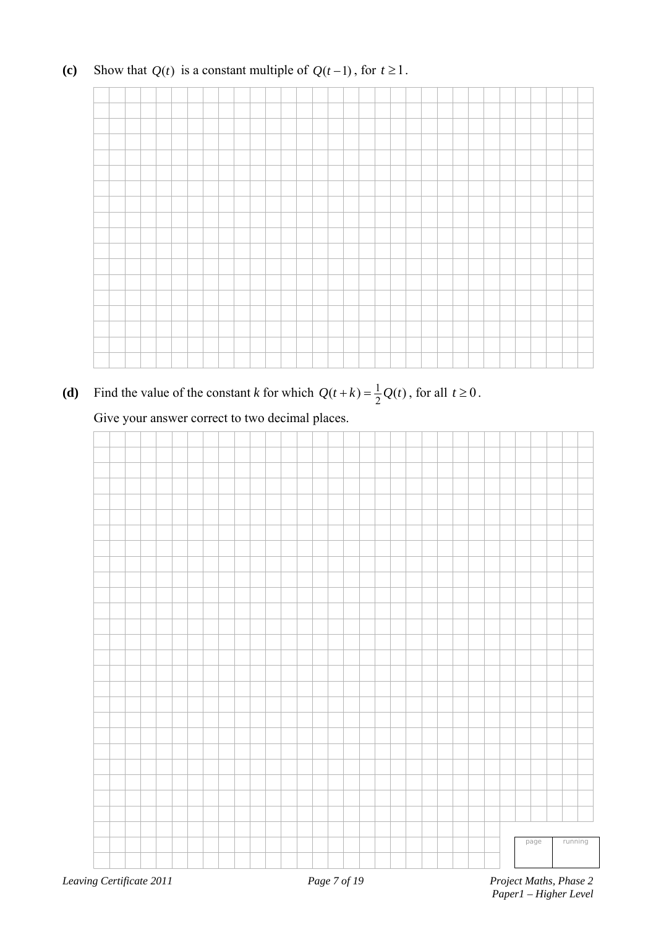### **(c)** Show that  $Q(t)$  is a constant multiple of  $Q(t-1)$ , for  $t \ge 1$ .

(**d**) Find the value of the constant *k* for which  $Q(t + k) = \frac{1}{2}Q(t)$ , for all  $t \ge 0$ .

Give your answer correct to two decimal places.



 *Paper1 – Higher Level*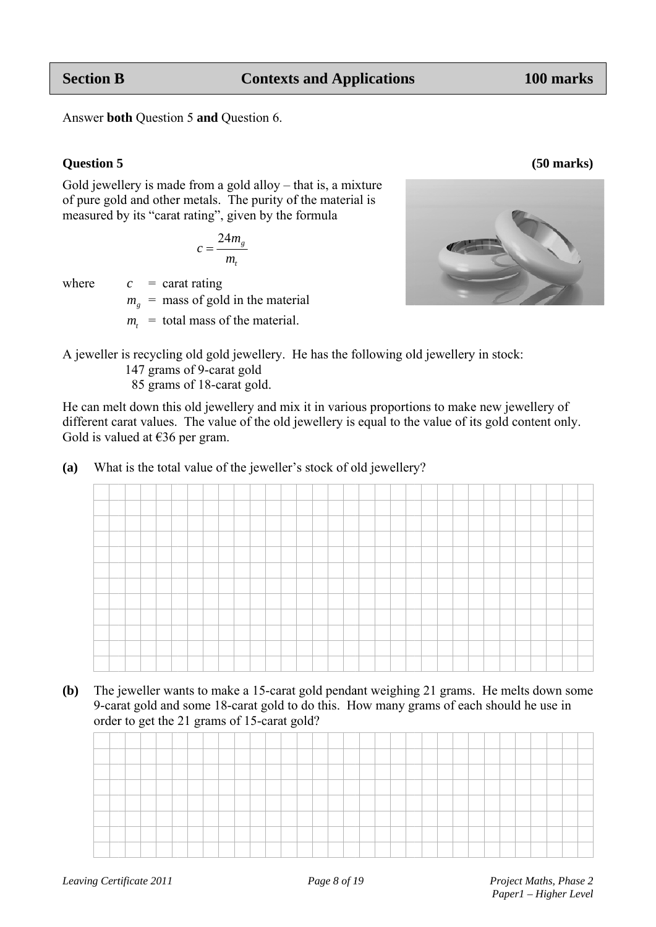Answer **both** Question 5 and Question 6.

#### **Question 5**

**Section B**

Gold jewellery is made from a gold alloy – that is, a mixture of pure gold and other metals. The purity of the material is measured by its "carat rating", given by the formula

$$
c = \frac{24m_g}{m_t}
$$

where

 $c =$  carat rating  $m<sub>g</sub>$  = mass of gold in the material

 $m_t$  = total mass of the material.

A jeweller is recycling old gold jewellery. He has the following old jewellery in stock:

147 grams s of 9-carat gold

85 grams of 18-carat gold.

He can melt down this old jewellery and mix it in various proportions to make new jewellery of different carat values. The value of the old jewellery is equal to the value of its gold content only. Gold is valued at  $\epsilon$ 36 per gram.

(a) What is the total value of the jeweller's stock of old jewellery?

| (b) | The jeweller wants to make a 15-carat gold pendant weighing 21 grams. He melts down some |
|-----|------------------------------------------------------------------------------------------|
|     | 9-carat gold and some 18-carat gold to do this. How many grams of each should he use in  |
|     | order to get the 21 grams of 15-carat gold?                                              |

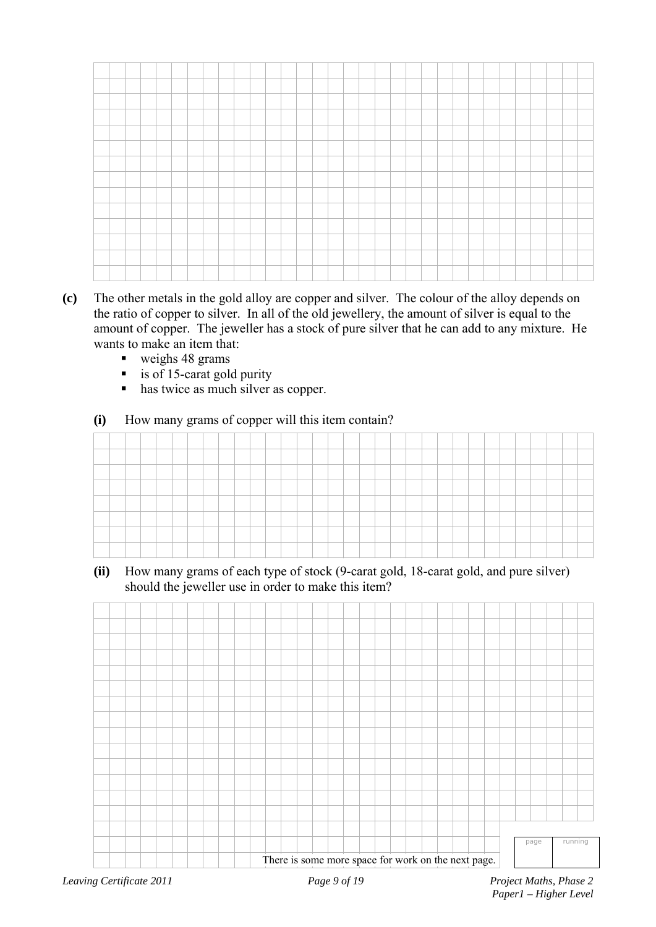- **(c)** The other metals in the gold alloy are copper and silver. The colour of the alloy depends on the ratio of copper to silver. In all of the old jewellery, the amount of silver is equal to the amount of copper. The jeweller has a stock of pure silver that he can add to any mixture. He wants to make an item that:
	- $\bullet$  weighs 48 grams
	- is of 15-carat gold purity
	- has twice as much silver as copper.
	- **(i)** How many grams of copper will this item contain?

**(ii)** How many grams of each type of stock (9-carat gold, 18-carat gold, and pure silver) should the jeweller use in order to make this item?

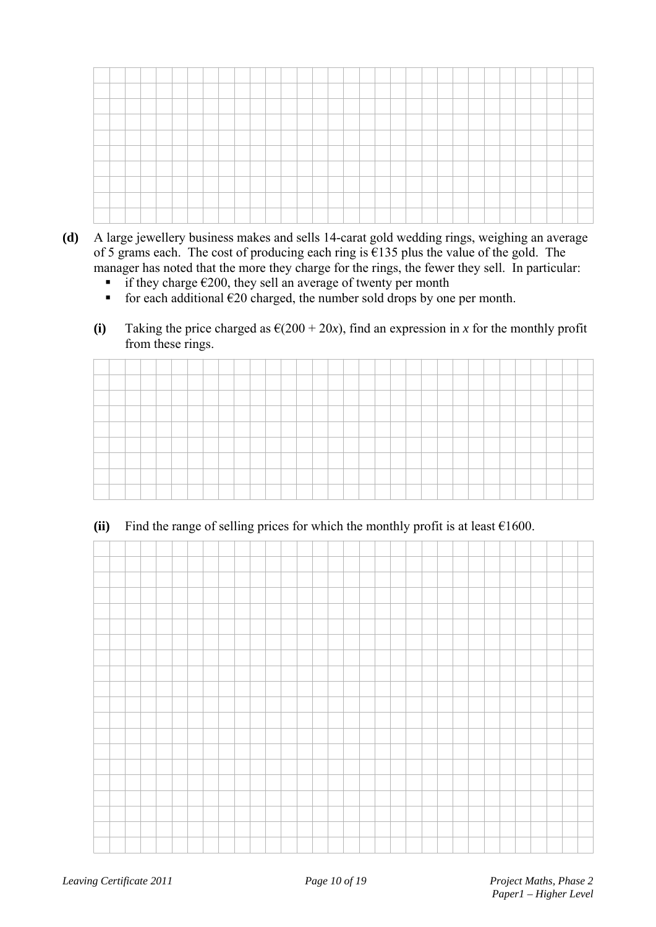- **(d)** A large jewellery business makes and sells 14-carat gold wedding rings, weighing an average of 5 grams each. The cost of producing each ring is  $\epsilon$ 135 plus the value of the gold. The manager has noted that the more they charge for the rings, the fewer they sell. In particular:
	- **■** if they charge  $€200$ , they sell an average of twenty per month
	- for each additional  $\epsilon$ 20 charged, the number sold drops by one per month.
	- (i) Taking the price charged as  $\epsilon(200 + 20x)$ , find an expression in *x* for the monthly profit from these rings.

| _ |  |  |  |  |  |  |  |  |  |  |  |  |  |  |  |  |
|---|--|--|--|--|--|--|--|--|--|--|--|--|--|--|--|--|
|   |  |  |  |  |  |  |  |  |  |  |  |  |  |  |  |  |
|   |  |  |  |  |  |  |  |  |  |  |  |  |  |  |  |  |

#### (ii) Find the range of selling prices for which the monthly profit is at least  $\epsilon$ 1600.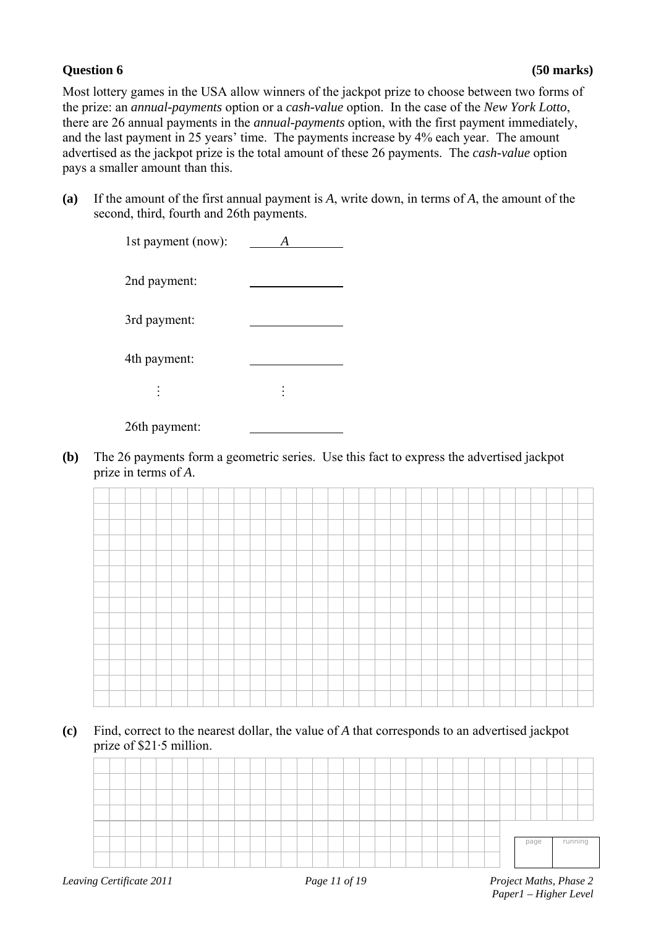Most lottery games in the USA allow winners of the jackpot prize to choose between two forms of the prize: an *annual-payments* option or a *cash-value* option. In the case of the *New York Lotto*, there are 26 annual payments in the *annual-payments* option, with the first payment immediately, and the last payment in 25 years' time. The payments increase by 4% each year. The amount advertised as the jackpot prize is the total amount of these 26 payments. The *cash-value* option pays a smaller amount than this.

**(a)** If the amount of the first annual payment is *A*, write down, in terms of *A*, the amount of the second, third, fourth and 26th payments.

| 1st payment (now): |  |
|--------------------|--|
| 2nd payment:       |  |
| 3rd payment:       |  |
| 4th payment:       |  |
| $\vdots$           |  |
| 26th payment:      |  |

**(b)** The 26 payments form a geometric series. Use this fact to express the advertised jackpot prize in terms of *A*.

**(c)** Find, correct to the nearest dollar, the value of *A* that corresponds to an advertised jackpot prize of \$21·5 million.

|  |  |  |  |  |  |  |  |  |  |  |  |  |  | page | running |  |
|--|--|--|--|--|--|--|--|--|--|--|--|--|--|------|---------|--|
|  |  |  |  |  |  |  |  |  |  |  |  |  |  |      |         |  |
|  |  |  |  |  |  |  |  |  |  |  |  |  |  |      |         |  |
|  |  |  |  |  |  |  |  |  |  |  |  |  |  |      |         |  |
|  |  |  |  |  |  |  |  |  |  |  |  |  |  |      |         |  |
|  |  |  |  |  |  |  |  |  |  |  |  |  |  |      |         |  |
|  |  |  |  |  |  |  |  |  |  |  |  |  |  |      |         |  |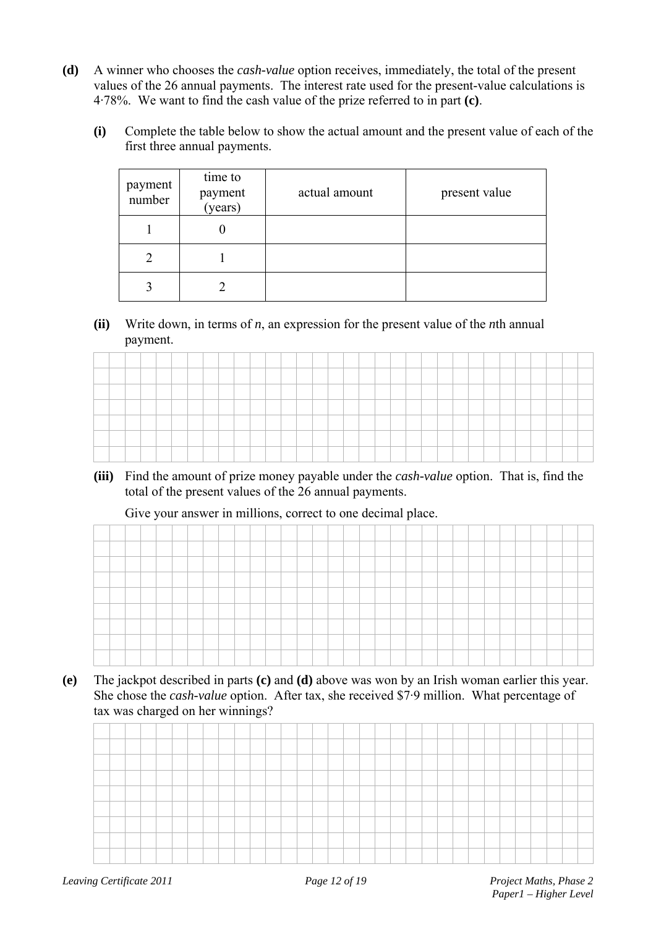- **(d)** A winner who chooses the *cash-value* option receives, immediately, the total of the present values of the 26 annual payments. The interest rate used for the present-value calculations is 4·78%. We want to find the cash value of the prize referred to in part **(c)**.
	- **(i)** Complete the table below to show the actual amount and the present value of each of the first three annual payments.

| payment<br>number | time to<br>payment<br>(years) | actual amount | present value |
|-------------------|-------------------------------|---------------|---------------|
|                   |                               |               |               |
|                   |                               |               |               |
|                   |                               |               |               |

#### **(ii)** Write down, in terms of *n*, an expression for the present value of the *n*th annual payment.

| __                            |  |  |  |  |  |  |      | _____ |  |  |  |  |  |  |  |  |
|-------------------------------|--|--|--|--|--|--|------|-------|--|--|--|--|--|--|--|--|
| _                             |  |  |  |  |  |  |      |       |  |  |  |  |  |  |  |  |
| <b><i><u>Property</u></i></b> |  |  |  |  |  |  | ____ |       |  |  |  |  |  |  |  |  |
|                               |  |  |  |  |  |  |      |       |  |  |  |  |  |  |  |  |
|                               |  |  |  |  |  |  |      |       |  |  |  |  |  |  |  |  |
|                               |  |  |  |  |  |  |      |       |  |  |  |  |  |  |  |  |

**(iii)** Find the amount of prize money payable under the *cash-value* option. That is, find the total of the present values of the 26 annual payments.

Give your answer in millions, correct to one decimal place.

**(e)** The jackpot described in parts **(c)** and **(d)** above was won by an Irish woman earlier this year. She chose the *cash-value* option. After tax, she received \$7·9 million. What percentage of tax was charged on her winnings?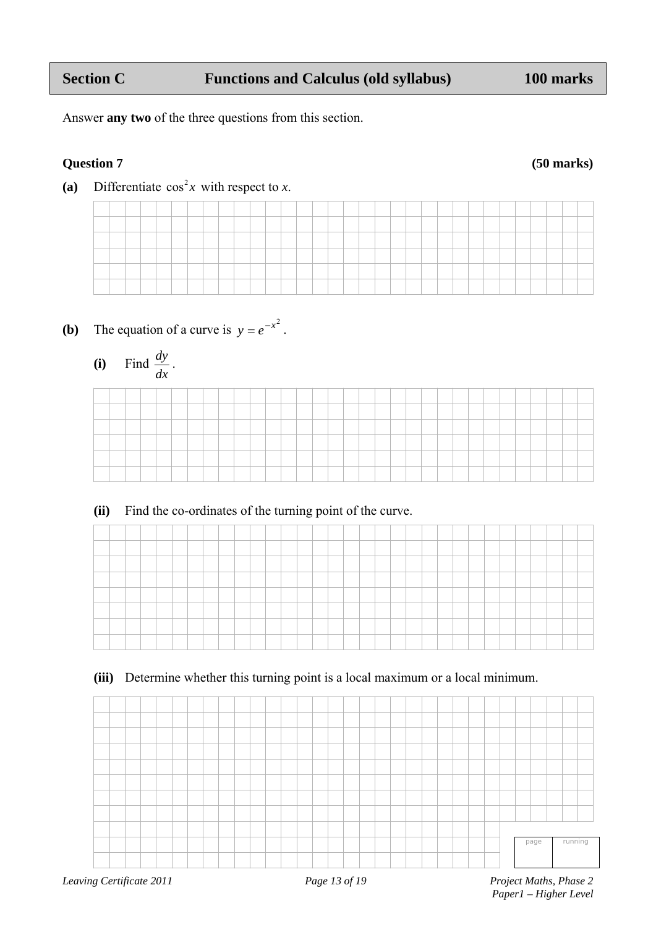Answer **any two** of the three questions from this section.

### **Question 7 (50 marks)**

(a) Differentiate  $\cos^2 x$  with respect to *x*.

- **(b)** The equation of a curve is  $y = e^{-x^2}$ .
- **(i)** Find *dx*  $\frac{dy}{dx}$ .

**(ii)** Find the co-ordinates of the turning point of the curve.

|  |  |  |  | _____ |  |  |  | ______ | the control of the control of |  | the control of the control of | the control of the control of |  |  |  |  |  |
|--|--|--|--|-------|--|--|--|--------|-------------------------------|--|-------------------------------|-------------------------------|--|--|--|--|--|
|  |  |  |  |       |  |  |  |        |                               |  |                               |                               |  |  |  |  |  |
|  |  |  |  |       |  |  |  |        |                               |  |                               |                               |  |  |  |  |  |
|  |  |  |  |       |  |  |  |        |                               |  |                               |                               |  |  |  |  |  |
|  |  |  |  |       |  |  |  |        |                               |  |                               |                               |  |  |  |  |  |

**(iii)** Determine whether this turning point is a local maximum or a local minimum.



 *Paper1 – Higher Level*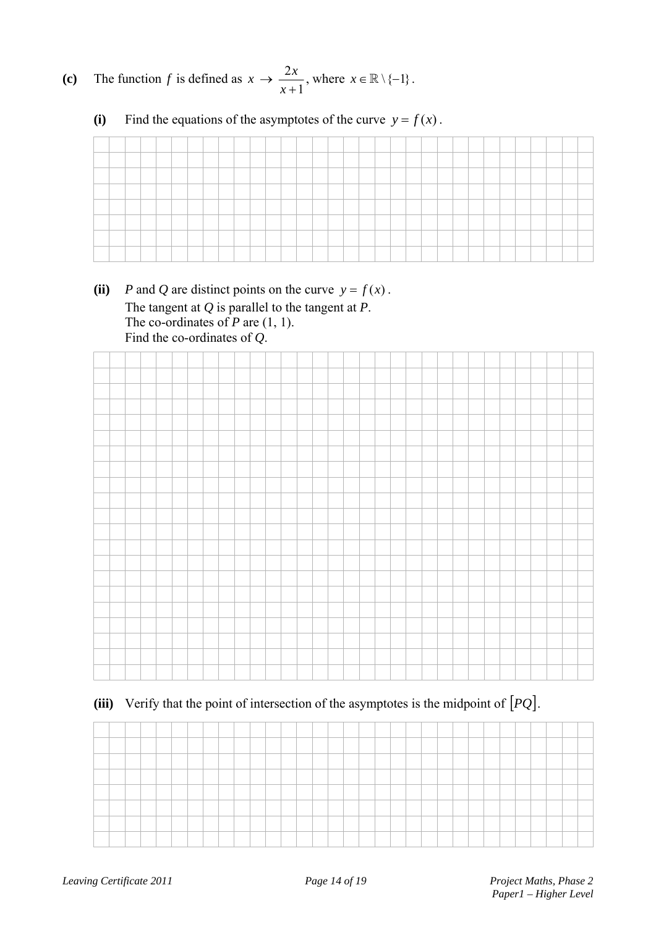**(c)** The function *f* is defined as  $\therefore \rightarrow \frac{2x}{x+1}$ *x*  $x \to \frac{2x}{\cdot}$ , where  $x \in \mathbb{R} \setminus \{-1\}$ .

**(i)** Find the equations of the asymptotes of the curve  $y = f(x)$ .

(ii) *P* and *Q* are distinct points on the curve  $y = f(x)$ . The tangent at *Q* is parallel to the tangent at *P*. The co-ordinates of *P* are  $(1, 1)$ . Find the co-ordinates of *Q*.



**(iii)** Verify that the point of intersection of the asymptotes is the midpoint of *PQ* .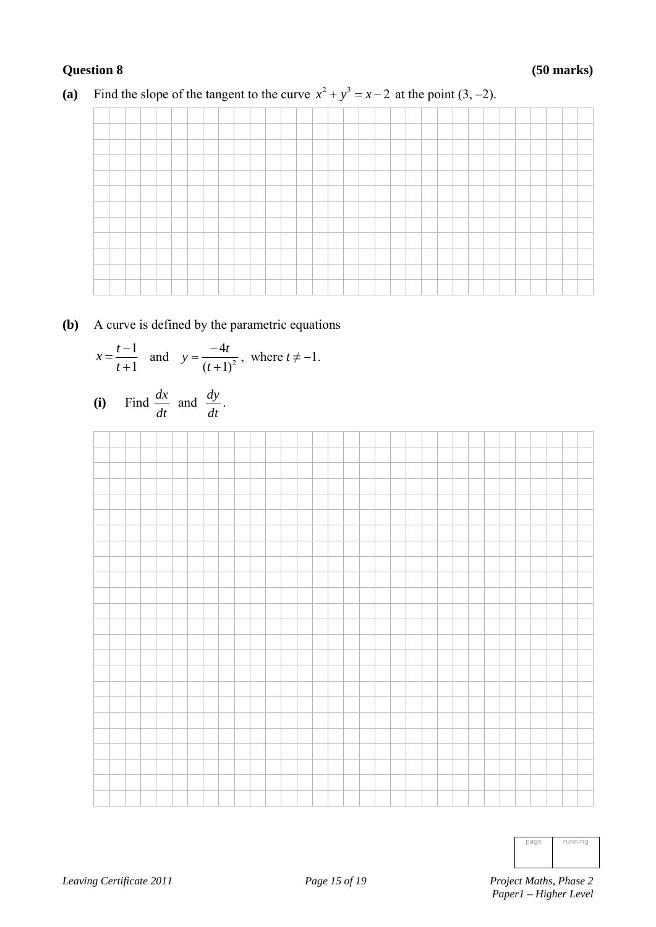### **Question 8 (50 marks)**

### (a) Find the slope of the tangent to the curve  $x^2 + y^3 = x - 2$  at the point (3, -2).

### **(b)** A curve is defined by the parametric equations

$$
x = \frac{t-1}{t+1}
$$
 and  $y = \frac{-4t}{(t+1)^2}$ , where  $t \neq -1$ .

(i) Find 
$$
\frac{dx}{dt}
$$
 and  $\frac{dy}{dt}$ .



| page | running |
|------|---------|
|      |         |
|      |         |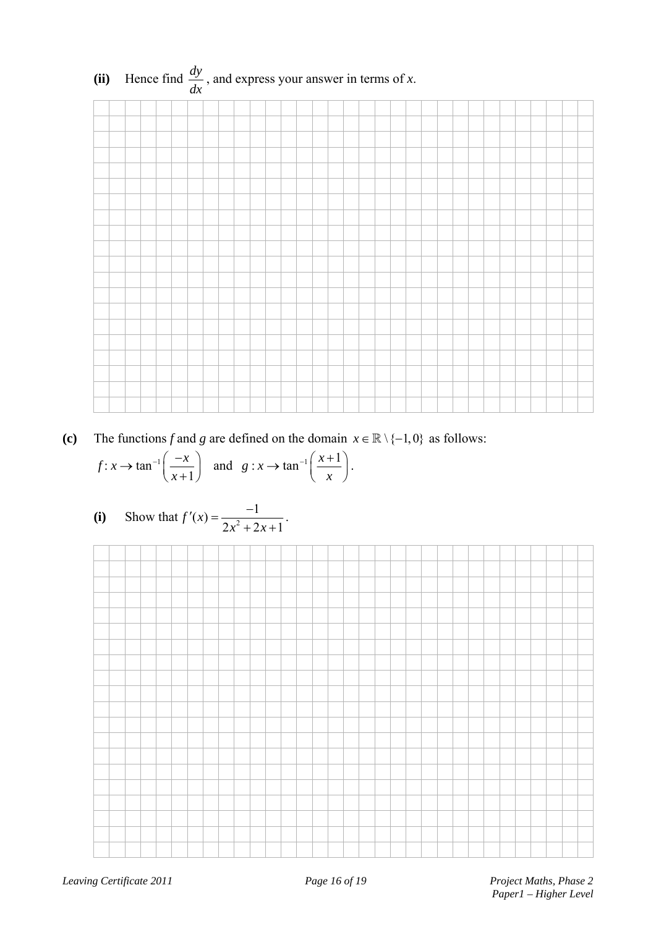

**(c)** The functions *f* and *g* are defined on the domain  $x \in \mathbb{R} \setminus \{-1,0\}$  as follows:

$$
f: x \to \tan^{-1}\left(\frac{-x}{x+1}\right)
$$
 and  $g: x \to \tan^{-1}\left(\frac{x+1}{x}\right)$ .

(i) Show that 
$$
f'(x) = \frac{-1}{2x^2 + 2x + 1}
$$
.

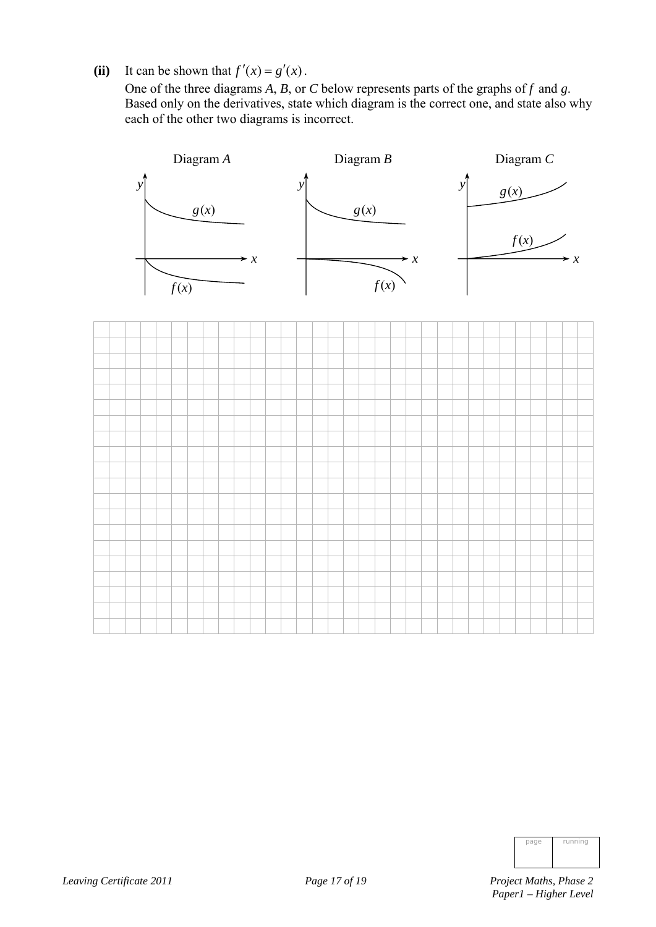(ii) It can be shown that  $f'(x) = g'(x)$ .

 One of the three diagrams *A*, *B*, or *C* below represents parts of the graphs of *f* and *g*. Based only on the derivatives, state which diagram is the correct one, and state also why each of the other two diagrams is incorrect.





| page | running |
|------|---------|
|      |         |
|      |         |

*Leaving Certificate 2011 Page 17 of 19 Project Maths, Phase 2*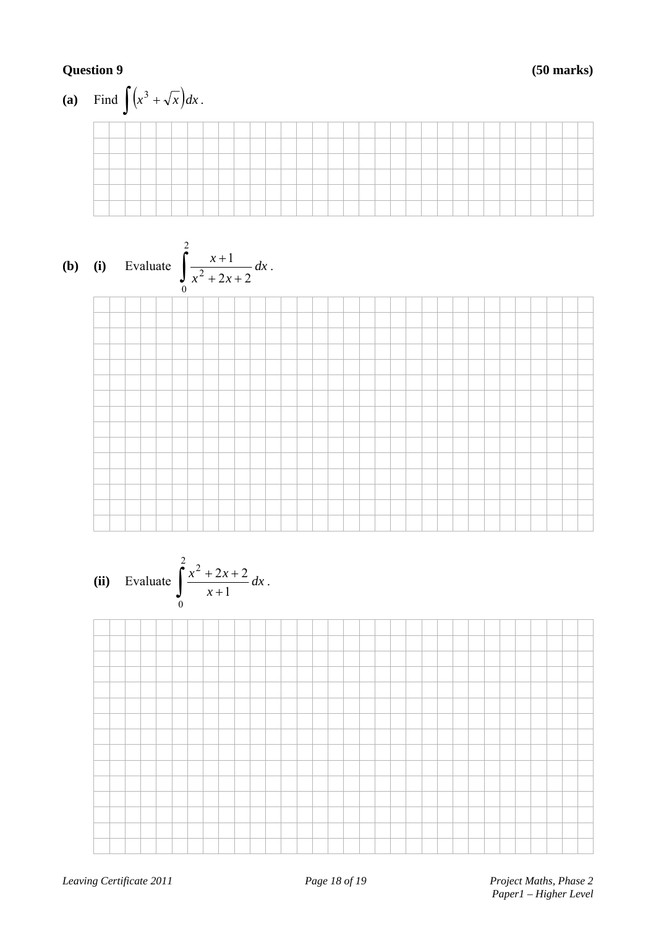### **Question 9 (50 marks)**

(a) Find 
$$
\int (x^3 + \sqrt{x}) dx
$$
.  
\n(b) (i) Evaluate  $\int_0^2 \frac{x+1}{x^2 + 2x + 2} dx$ .  
\n(ii) Evaluate  $\int_0^2 \frac{x^2 + 2x + 2}{x+1} dx$ .

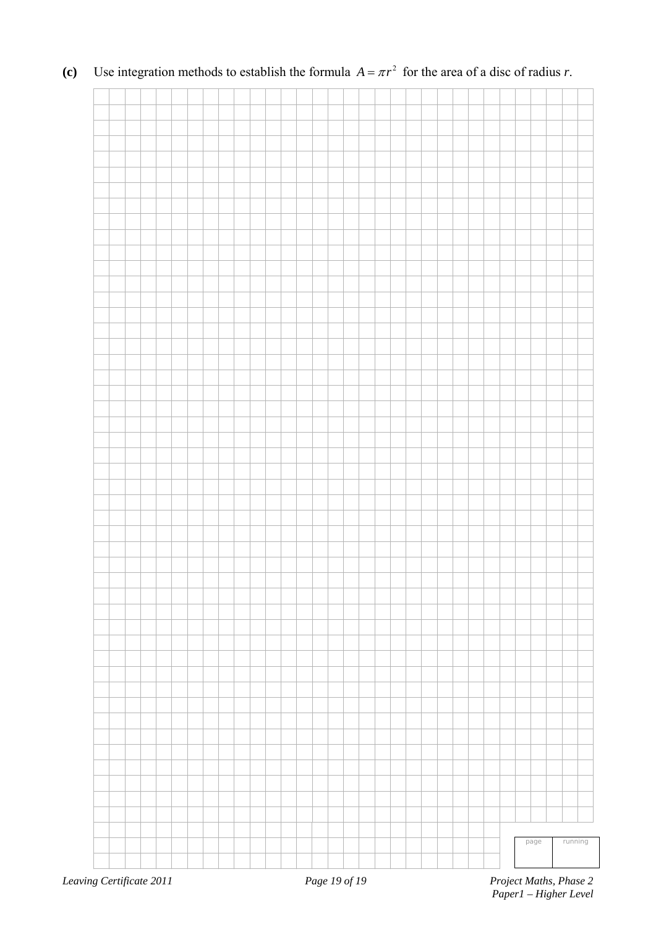

**(c)** Use integration methods to establish the formula  $A = \pi r^2$  for the area of a disc of radius *r*.